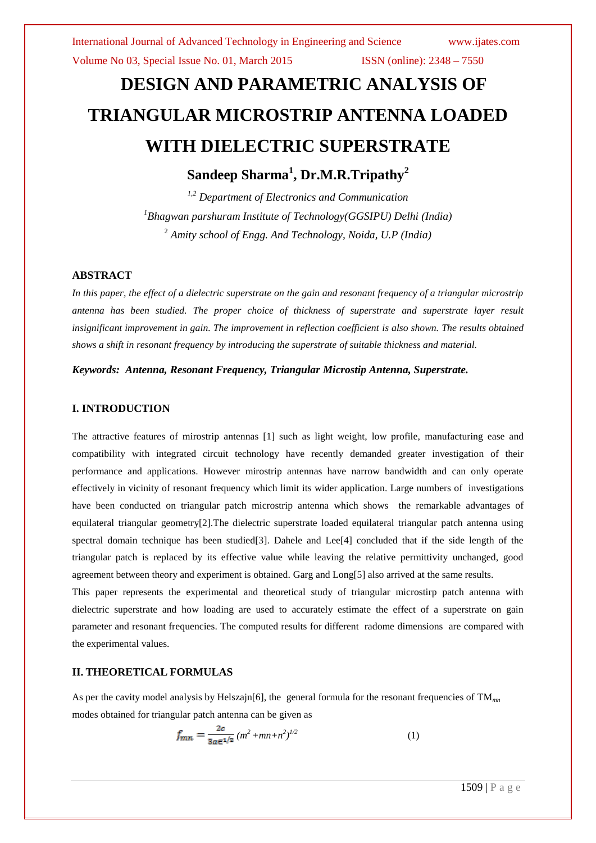Volume No 03, Special Issue No. 01, March 2015 **ISSN** (online): 2348 – 7550

# **DESIGN AND PARAMETRIC ANALYSIS OF TRIANGULAR MICROSTRIP ANTENNA LOADED WITH DIELECTRIC SUPERSTRATE**

## **Sandeep Sharma<sup>1</sup> , Dr.M.R.Tripathy<sup>2</sup>**

*1,2 Department of Electronics and Communication <sup>1</sup>Bhagwan parshuram Institute of Technology(GGSIPU) Delhi (India)* <sup>2</sup> *Amity school of Engg. And Technology, Noida, U.P (India)*

### **ABSTRACT**

*In this paper, the effect of a dielectric superstrate on the gain and resonant frequency of a triangular microstrip antenna has been studied. The proper choice of thickness of superstrate and superstrate layer result insignificant improvement in gain. The improvement in reflection coefficient is also shown. The results obtained shows a shift in resonant frequency by introducing the superstrate of suitable thickness and material.*

*Keywords: Antenna, Resonant Frequency, Triangular Microstip Antenna, Superstrate.*

#### **I. INTRODUCTION**

The attractive features of mirostrip antennas [1] such as light weight, low profile, manufacturing ease and compatibility with integrated circuit technology have recently demanded greater investigation of their performance and applications. However mirostrip antennas have narrow bandwidth and can only operate effectively in vicinity of resonant frequency which limit its wider application. Large numbers of investigations have been conducted on triangular patch microstrip antenna which shows the remarkable advantages of equilateral triangular geometry[2].The dielectric superstrate loaded equilateral triangular patch antenna using spectral domain technique has been studied[3]. Dahele and Lee[4] concluded that if the side length of the triangular patch is replaced by its effective value while leaving the relative permittivity unchanged, good agreement between theory and experiment is obtained. Garg and Long[5] also arrived at the same results.

This paper represents the experimental and theoretical study of triangular microstirp patch antenna with dielectric superstrate and how loading are used to accurately estimate the effect of a superstrate on gain parameter and resonant frequencies. The computed results for different radome dimensions are compared with the experimental values.

#### **II. THEORETICAL FORMULAS**

As per the cavity model analysis by Helszajn<sup>[6]</sup>, the general formula for the resonant frequencies of TM<sub>*mn*</sub> modes obtained for triangular patch antenna can be given as

$$
f_{mn} = \frac{2c}{3a\epsilon^{1/2}} (m^2 + mn + n^2)^{1/2}
$$
 (1)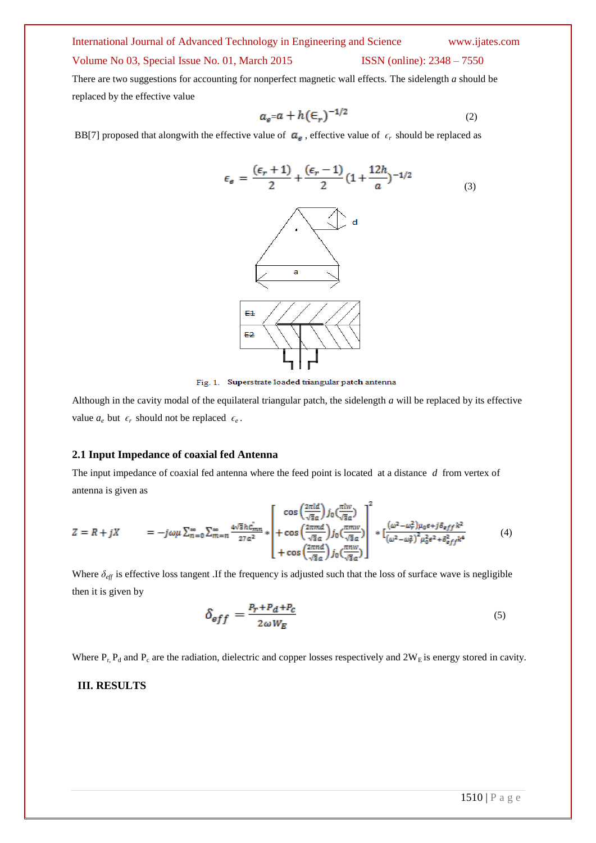#### International Journal of Advanced Technology in Engineering and Science www.ijates.com

#### Volume No 03, Special Issue No. 01, March 2015 ISSN (online): 2348 – 7550

There are two suggestions for accounting for nonperfect magnetic wall effects. The sidelength *a* should be replaced by the effective value

$$
a_s = a + h\left(\frac{\epsilon}{r}\right)^{-1/2} \tag{2}
$$

BB[7] proposed that alongwith the effective value of  $\boldsymbol{a}_{e}$ , effective value of  $\epsilon_r$  should be replaced as



Fig. 1. Superstrate loaded triangular patch antenna

Although in the cavity modal of the equilateral triangular patch, the sidelength *a* will be replaced by its effective value  $a_e$  but  $\epsilon_r$  should not be replaced  $\epsilon_e$ .

#### **2.1 Input Impedance of coaxial fed Antenna**

The input impedance of coaxial fed antenna where the feed point is located at a distance *d* from vertex of antenna is given as

$$
Z = R + jX = -j\omega\mu \sum_{n=0}^{\infty} \sum_{m=n}^{\infty} \frac{4\sqrt{3}hc_{mn}^{T}}{27a^{2}} * \left[ \frac{\cos\left(\frac{2\pi id}{\sqrt{3}a}\right)j_{0}\left(\frac{\pi l w}{\sqrt{3}a}\right)}{\cos\left(\frac{2\pi m d}{\sqrt{3}a}\right)j_{0}\left(\frac{\pi m w}{\sqrt{3}a}\right)} \right] * \left[ \frac{(\omega^{2} - \omega_{r}^{2})\mu_{0}\epsilon + j\delta_{eff}k^{2}}{(\omega^{2} - \omega_{r}^{2})^{2}\mu_{0}^{2}\epsilon^{2} + \delta_{eff}^{2}k^{4}} \right] \tag{4}
$$

Where  $\delta_{\text{eff}}$  is effective loss tangent .If the frequency is adjusted such that the loss of surface wave is negligible then it is given by

$$
\delta_{eff} = \frac{P_r + P_d + P_c}{2\omega W_E} \tag{5}
$$

Where  $P_r$ ,  $P_d$  and  $P_c$  are the radiation, dielectric and copper losses respectively and  $2W_E$  is energy stored in cavity.

#### **III. RESULTS**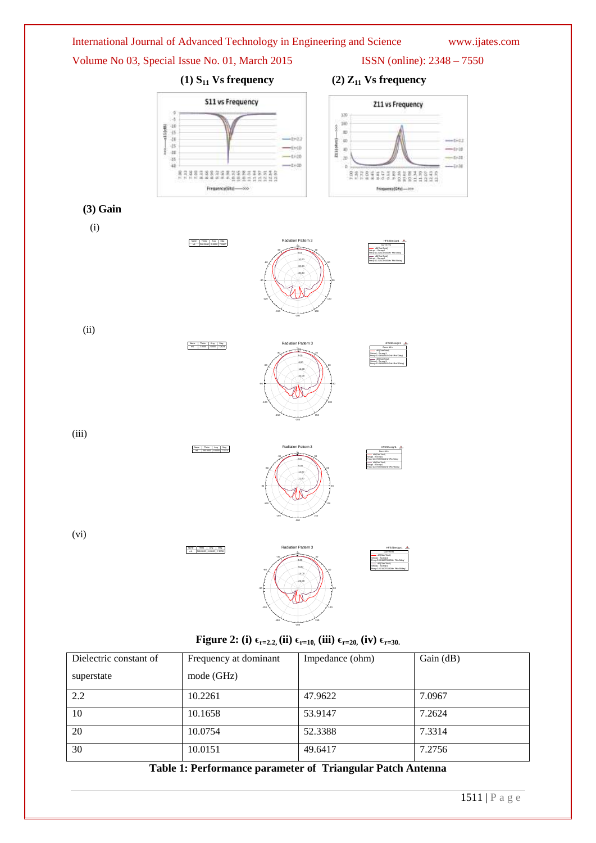

**Figure 2:** (i)  $\epsilon_{r=2.2}$ , (ii)  $\epsilon_{r=10}$ , (iii)  $\epsilon_{r=20}$ , (iv)  $\epsilon_{r=30}$ .

| Dielectric constant of | Frequency at dominant | Impedance (ohm) | Gain (dB) |
|------------------------|-----------------------|-----------------|-----------|
| superstate             | mode (GHz)            |                 |           |
| 2.2                    | 10.2261               | 47.9622         | 7.0967    |
| 10                     | 10.1658               | 53.9147         | 7.2624    |
| 20                     | 10.0754               | 52.3388         | 7.3314    |
| 30                     | 10.0151               | 49.6417         | 7.2756    |

**Table 1: Performance parameter of Triangular Patch Antenna**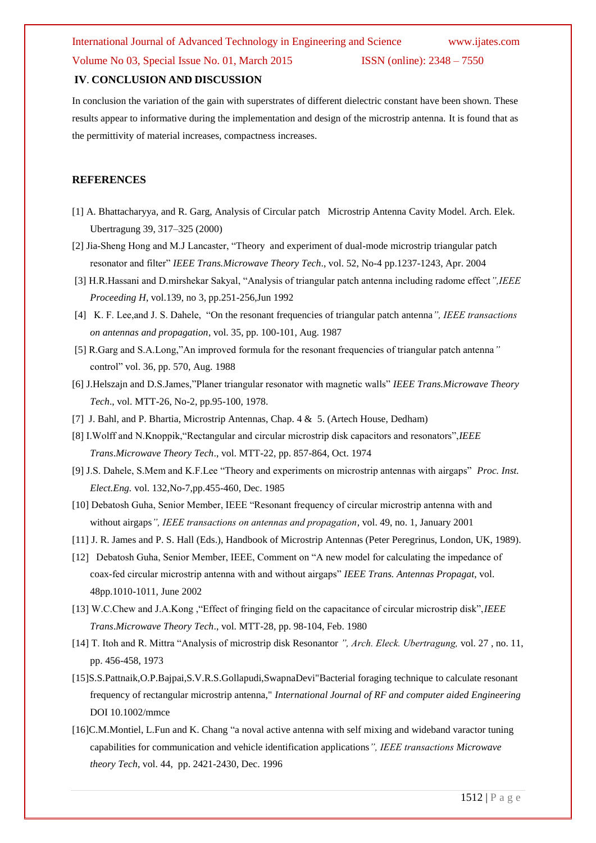### Volume No 03, Special Issue No. 01, March 2015 ISSN (online): 2348 – 7550

#### **IV**. **CONCLUSION AND DISCUSSION**

In conclusion the variation of the gain with superstrates of different dielectric constant have been shown. These results appear to informative during the implementation and design of the microstrip antenna. It is found that as the permittivity of material increases, compactness increases.

#### **REFERENCES**

- [1] A. Bhattacharyya, and R. Garg, Analysis of Circular patch Microstrip Antenna Cavity Model. Arch. Elek. Ubertragung 39, 317–325 (2000)
- [2] Jia-Sheng Hong and M.J Lancaster, "Theory and experiment of dual-mode microstrip triangular patch resonator and filter" *IEEE Trans.Microwave Theory Tech*., vol. 52, No-4 pp.1237-1243, Apr. 2004
- [3] H.R.Hassani and D.mirshekar Sakyal, "Analysis of triangular patch antenna including radome effect*",IEEE Proceeding H*, vol.139, no 3, pp.251-256,Jun 1992
- [4] K. F. Lee,and J. S. Dahele, "On the resonant frequencies of triangular patch antenna*", IEEE transactions on antennas and propagation*, vol. 35, pp. 100-101, Aug. 1987
- [5] R.Garg and S.A.Long,"An improved formula for the resonant frequencies of triangular patch antenna*"* control" vol. 36, pp. 570, Aug. 1988
- [6] J.Helszajn and D.S.James,"Planer triangular resonator with magnetic walls" *IEEE Trans.Microwave Theory Tech*., vol. MTT-26, No-2, pp.95-100, 1978.
- [7] J. Bahl, and P. Bhartia, Microstrip Antennas, Chap. 4 & 5. (Artech House, Dedham)
- [8] I.Wolff and N.Knoppik,"Rectangular and circular microstrip disk capacitors and resonators",*IEEE Trans*.*Microwave Theory Tech*., vol. MTT-22, pp. 857-864, Oct. 1974
- [9] J.S. Dahele, S.Mem and K.F.Lee "Theory and experiments on microstrip antennas with airgaps" *Proc. Inst. Elect.Eng.* vol. 132,No-7,pp.455-460, Dec. 1985
- [10] Debatosh Guha, Senior Member, IEEE "Resonant frequency of circular microstrip antenna with and without airgaps*", IEEE transactions on antennas and propagation*, vol. 49, no. 1, January 2001
- [11] J. R. James and P. S. Hall (Eds.), Handbook of Microstrip Antennas (Peter Peregrinus, London, UK, 1989).
- [12] Debatosh Guha, Senior Member, IEEE, Comment on "A new model for calculating the impedance of coax-fed circular microstrip antenna with and without airgaps" *IEEE Trans. Antennas Propagat*, vol. 48pp.1010-1011, June 2002
- [13] W.C.Chew and J.A.Kong ,"Effect of fringing field on the capacitance of circular microstrip disk",*IEEE Trans*.*Microwave Theory Tech*., vol. MTT-28, pp. 98-104, Feb. 1980
- [14] T. Itoh and R. Mittra "Analysis of microstrip disk Resonantor *", Arch. Eleck. Ubertragung,* vol. 27 , no. 11, pp. 456-458, 1973
- [15]S.S.Pattnaik,O.P.Bajpai,S.V.R.S.Gollapudi,SwapnaDevi"Bacterial foraging technique to calculate resonant frequency of rectangular microstrip antenna," *International Journal of RF and computer aided Engineering* DOI 10.1002/mmce
- [16]C.M.Montiel, L.Fun and K. Chang "a noval active antenna with self mixing and wideband varactor tuning capabilities for communication and vehicle identification applications*", IEEE transactions Microwave theory Tech*, vol. 44, pp. 2421-2430, Dec. 1996